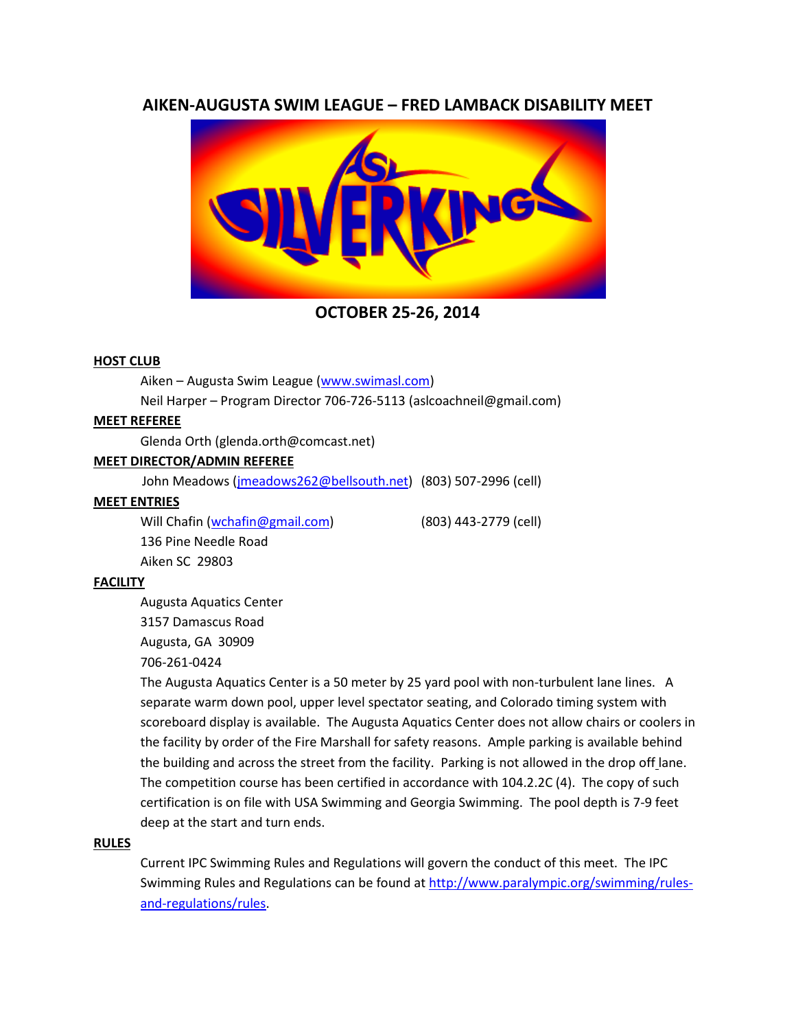# **AIKEN-AUGUSTA SWIM LEAGUE – FRED LAMBACK DISABILITY MEET**



**OCTOBER 25-26, 2014**

## **HOST CLUB**

Aiken – Augusta Swim League [\(www.swimasl.com\)](http://www.swimasl.com/)

Neil Harper – Program Director 706-726-5113 (aslcoachneil@gmail.com)

## **MEET REFEREE**

Glenda Orth (glenda.orth@comcast.net)

# **MEET DIRECTOR/ADMIN REFEREE**

John Meadows [\(jmeadows262@bellsouth.net\)](mailto:jmeadows262@bellsouth.net) (803) 507-2996 (cell)

## **MEET ENTRIES**

Will Chafin [\(wchafin@gmail.com\)](mailto:wchafin@gmail.com) (803) 443-2779 (cell) 136 Pine Needle Road Aiken SC 29803

# **FACILITY**

Augusta Aquatics Center

3157 Damascus Road

Augusta, GA 30909

706-261-0424

The Augusta Aquatics Center is a 50 meter by 25 yard pool with non-turbulent lane lines. A separate warm down pool, upper level spectator seating, and Colorado timing system with scoreboard display is available. The Augusta Aquatics Center does not allow chairs or coolers in the facility by order of the Fire Marshall for safety reasons. Ample parking is available behind the building and across the street from the facility. Parking is not allowed in the drop off lane. The competition course has been certified in accordance with 104.2.2C (4). The copy of such certification is on file with USA Swimming and Georgia Swimming. The pool depth is 7-9 feet deep at the start and turn ends.

## **RULES**

Current IPC Swimming Rules and Regulations will govern the conduct of this meet. The IPC Swimming Rules and Regulations can be found at [http://www.paralympic.org/swimming/rules](http://www.paralympic.org/swimming/rules-and-regulations/rules)[and-regulations/rules.](http://www.paralympic.org/swimming/rules-and-regulations/rules)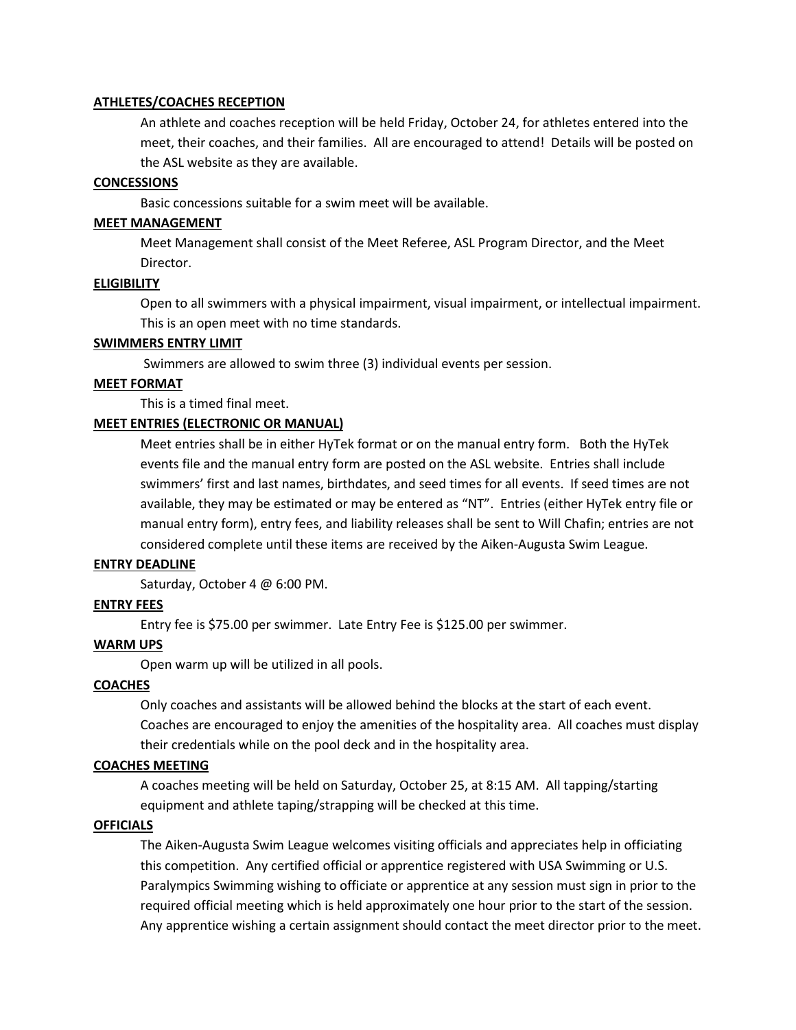## **ATHLETES/COACHES RECEPTION**

An athlete and coaches reception will be held Friday, October 24, for athletes entered into the meet, their coaches, and their families. All are encouraged to attend! Details will be posted on the ASL website as they are available.

## **CONCESSIONS**

Basic concessions suitable for a swim meet will be available.

## **MEET MANAGEMENT**

Meet Management shall consist of the Meet Referee, ASL Program Director, and the Meet Director.

## **ELIGIBILITY**

Open to all swimmers with a physical impairment, visual impairment, or intellectual impairment. This is an open meet with no time standards.

# **SWIMMERS ENTRY LIMIT**

Swimmers are allowed to swim three (3) individual events per session.

## **MEET FORMAT**

This is a timed final meet.

# **MEET ENTRIES (ELECTRONIC OR MANUAL)**

Meet entries shall be in either HyTek format or on the manual entry form. Both the HyTek events file and the manual entry form are posted on the ASL website. Entries shall include swimmers' first and last names, birthdates, and seed times for all events. If seed times are not available, they may be estimated or may be entered as "NT". Entries (either HyTek entry file or manual entry form), entry fees, and liability releases shall be sent to Will Chafin; entries are not considered complete until these items are received by the Aiken-Augusta Swim League.

## **ENTRY DEADLINE**

Saturday, October 4 @ 6:00 PM.

## **ENTRY FEES**

Entry fee is \$75.00 per swimmer. Late Entry Fee is \$125.00 per swimmer.

## **WARM UPS**

Open warm up will be utilized in all pools.

## **COACHES**

Only coaches and assistants will be allowed behind the blocks at the start of each event.

Coaches are encouraged to enjoy the amenities of the hospitality area. All coaches must display their credentials while on the pool deck and in the hospitality area.

## **COACHES MEETING**

A coaches meeting will be held on Saturday, October 25, at 8:15 AM. All tapping/starting equipment and athlete taping/strapping will be checked at this time.

## **OFFICIALS**

The Aiken-Augusta Swim League welcomes visiting officials and appreciates help in officiating this competition. Any certified official or apprentice registered with USA Swimming or U.S. Paralympics Swimming wishing to officiate or apprentice at any session must sign in prior to the required official meeting which is held approximately one hour prior to the start of the session. Any apprentice wishing a certain assignment should contact the meet director prior to the meet.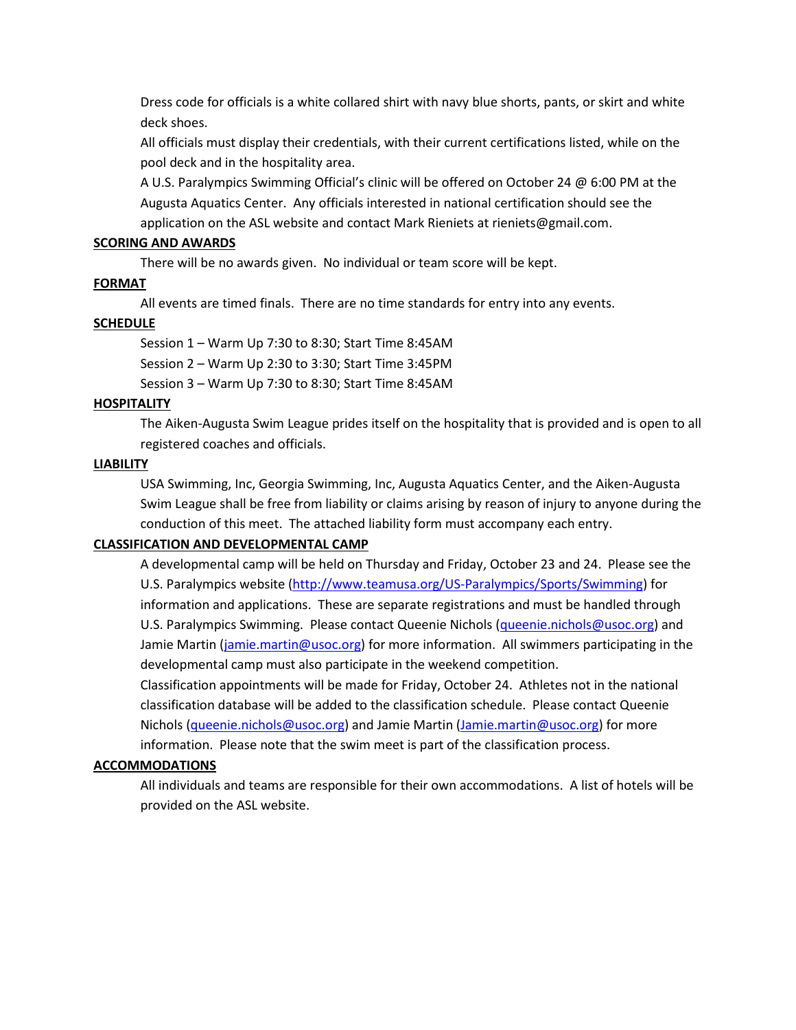Dress code for officials is a white collared shirt with navy blue shorts, pants, or skirt and white deck shoes.

All officials must display their credentials, with their current certifications listed, while on the pool deck and in the hospitality area.

A U.S. Paralympics Swimming Official's clinic will be offered on October 24 @ 6:00 PM at the Augusta Aquatics Center. Any officials interested in national certification should see the application on the ASL website and contact Mark Rieniets at rieniets@gmail.com.

## **SCORING AND AWARDS**

There will be no awards given. No individual or team score will be kept.

#### **FORMAT**

All events are timed finals. There are no time standards for entry into any events.

## **SCHEDULE**

Session 1 – Warm Up 7:30 to 8:30; Start Time 8:45AM

Session 2 – Warm Up 2:30 to 3:30; Start Time 3:45PM

Session 3 – Warm Up 7:30 to 8:30; Start Time 8:45AM

#### **HOSPITALITY**

The Aiken-Augusta Swim League prides itself on the hospitality that is provided and is open to all registered coaches and officials.

#### **LIABILITY**

USA Swimming, Inc, Georgia Swimming, Inc, Augusta Aquatics Center, and the Aiken-Augusta Swim League shall be free from liability or claims arising by reason of injury to anyone during the conduction of this meet. The attached liability form must accompany each entry.

#### **CLASSIFICATION AND DEVELOPMENTAL CAMP**

A developmental camp will be held on Thursday and Friday, October 23 and 24. Please see the U.S. Paralympics website [\(http://www.teamusa.org/US-Paralympics/Sports/Swimming\)](http://www.teamusa.org/US-Paralympics/Sports/Swimming) for information and applications. These are separate registrations and must be handled through U.S. Paralympics Swimming. Please contact Queenie Nichols [\(queenie.nichols@usoc.org\)](mailto:queenie.nichols@usoc.org) and Jamie Martin [\(jamie.martin@usoc.org\)](mailto:jamie.martin@usoc.org) for more information. All swimmers participating in the developmental camp must also participate in the weekend competition.

Classification appointments will be made for Friday, October 24. Athletes not in the national classification database will be added to the classification schedule. Please contact Queenie Nichols [\(queenie.nichols@usoc.org\)](mailto:queenie.nichols@usoc.org) and Jamie Martin [\(Jamie.martin@usoc.org\)](mailto:Jamie.martin@usoc.org) for more information. Please note that the swim meet is part of the classification process.

#### **ACCOMMODATIONS**

All individuals and teams are responsible for their own accommodations. A list of hotels will be provided on the ASL website.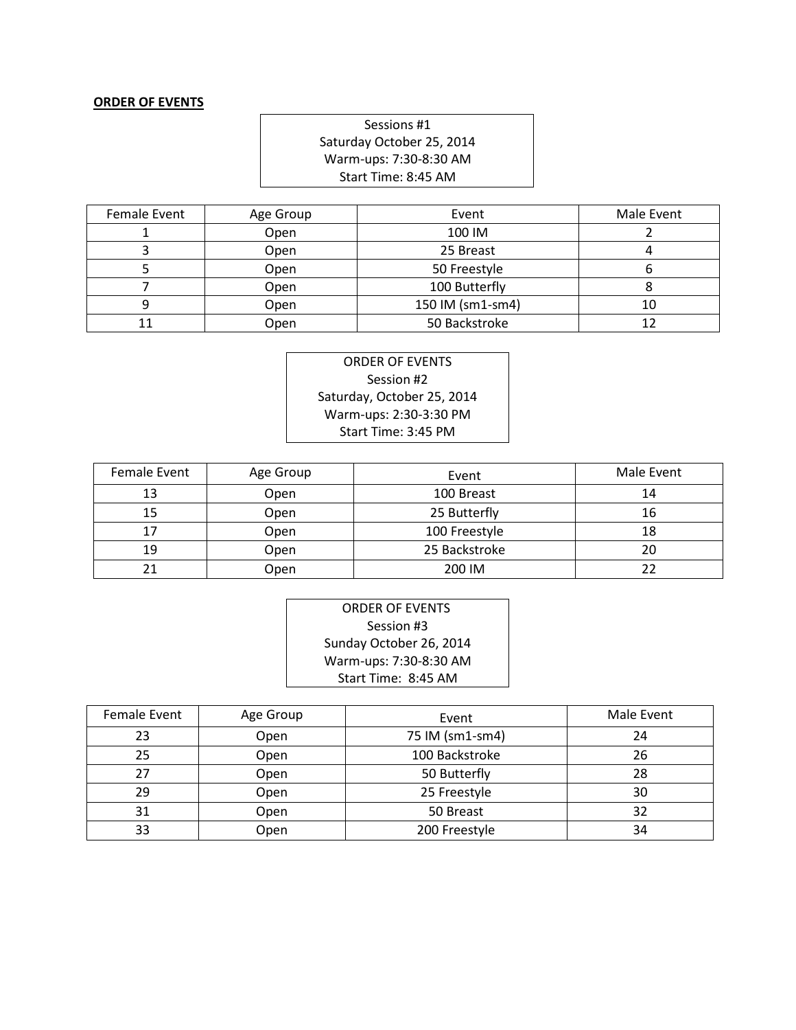## **ORDER OF EVENTS**

Sessions #1 Saturday October 25, 2014 Warm-ups: 7:30-8:30 AM Start Time: 8:45 AM

| Female Event | Age Group | Event            | Male Event |
|--------------|-----------|------------------|------------|
|              | Open      | 100 IM           |            |
|              | Open      | 25 Breast        |            |
|              | Open      | 50 Freestyle     |            |
|              | Open      | 100 Butterfly    |            |
|              | Open      | 150 IM (sm1-sm4) | 10         |
|              | Open      | 50 Backstroke    |            |

ORDER OF EVENTS Session #2 Saturday, October 25, 2014 Warm-ups: 2:30-3:30 PM Start Time: 3:45 PM

| Female Event | Age Group | Event         | Male Event |
|--------------|-----------|---------------|------------|
| 13           | Open      | 100 Breast    | 14         |
| 15           | Open      | 25 Butterfly  | 16         |
|              | Open      | 100 Freestyle | 18         |
| 19           | Open      | 25 Backstroke | 20         |
|              | Open      | 200 IM        |            |

| ORDER OF EVENTS         |  |  |  |  |
|-------------------------|--|--|--|--|
| Session #3              |  |  |  |  |
| Sunday October 26, 2014 |  |  |  |  |
| Warm-ups: 7:30-8:30 AM  |  |  |  |  |
| Start Time: 8:45 AM     |  |  |  |  |

| Female Event | Age Group | Event           | Male Event |
|--------------|-----------|-----------------|------------|
| 23           | Open      | 75 IM (sm1-sm4) | 24         |
| 25           | Open      | 100 Backstroke  | 26         |
| 27           | Open      | 50 Butterfly    | 28         |
| 29           | Open      | 25 Freestyle    | 30         |
| 31           | Open      | 50 Breast       | 32         |
| 33           | Open      | 200 Freestyle   | 34         |